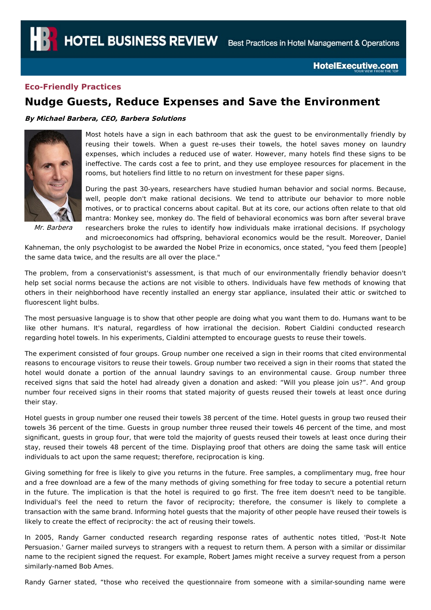## **Eco-Friendly Practices**

## **Nudge Guests, Reduce Expenses and Save the Environment**

## **By Michael Barbera, CEO, Barbera Solutions**



Most hotels have a sign in each bathroom that ask the guest to be environmentally friendly by reusing their towels. When a guest re-uses their towels, the hotel saves money on laundry expenses, which includes a reduced use of water. However, many hotels find these signs to be ineffective. The cards cost a fee to print, and they use employee resources for placement in the rooms, but hoteliers find little to no return on investment for these paper signs.

During the past 30-years, researchers have studied human behavior and social norms. Because, well, people don't make rational decisions. We tend to attribute our behavior to more noble motives, or to practical concerns about capital. But at its core, our actions often relate to that old mantra: Monkey see, monkey do. The field of behavioral economics was born after several brave researchers broke the rules to identify how individuals make irrational decisions. If psychology

Mr. Barbera

and microeconomics had offspring, behavioral economics would be the result. Moreover, Daniel Kahneman, the only psychologist to be awarded the Nobel Prize in economics, once stated, "you feed them [people]

the same data twice, and the results are all over the place."

The problem, from a conservationist's assessment, is that much of our environmentally friendly behavior doesn't help set social norms because the actions are not visible to others. Individuals have few methods of knowing that others in their neighborhood have recently installed an energy star appliance, insulated their attic or switched to fluorescent light bulbs.

The most persuasive language is to show that other people are doing what you want them to do. Humans want to be like other humans. It's natural, regardless of how irrational the decision. Robert Cialdini conducted research regarding hotel towels. In his experiments, Cialdini attempted to encourage guests to reuse their towels.

The experiment consisted of four groups. Group number one received a sign in their rooms that cited environmental reasons to encourage visitors to reuse their towels. Group number two received a sign in their rooms that stated the hotel would donate a portion of the annual laundry savings to an environmental cause. Group number three received signs that said the hotel had already given a donation and asked: "Will you please join us?". And group number four received signs in their rooms that stated majority of guests reused their towels at least once during their stay.

Hotel guests in group number one reused their towels 38 percent of the time. Hotel guests in group two reused their towels 36 percent of the time. Guests in group number three reused their towels 46 percent of the time, and most significant, guests in group four, that were told the majority of guests reused their towels at least once during their stay, reused their towels 48 percent of the time. Displaying proof that others are doing the same task will entice individuals to act upon the same request; therefore, reciprocation is king.

Giving something for free is likely to give you returns in the future. Free samples, a complimentary mug, free hour and a free download are a few of the many methods of giving something for free today to secure a potential return in the future. The implication is that the hotel is required to go first. The free item doesn't need to be tangible. Individual's feel the need to return the favor of reciprocity; therefore, the consumer is likely to complete a transaction with the same brand. Informing hotel guests that the majority of other people have reused their towels is likely to create the effect of reciprocity: the act of reusing their towels.

In 2005, Randy Garner conducted research regarding response rates of authentic notes titled, 'Post-It Note Persuasion.' Garner mailed surveys to strangers with a request to return them. A person with a similar or dissimilar name to the recipient signed the request. For example, Robert James might receive a survey request from a person similarly-named Bob Ames.

Randy Garner stated, "those who received the questionnaire from someone with a similar-sounding name were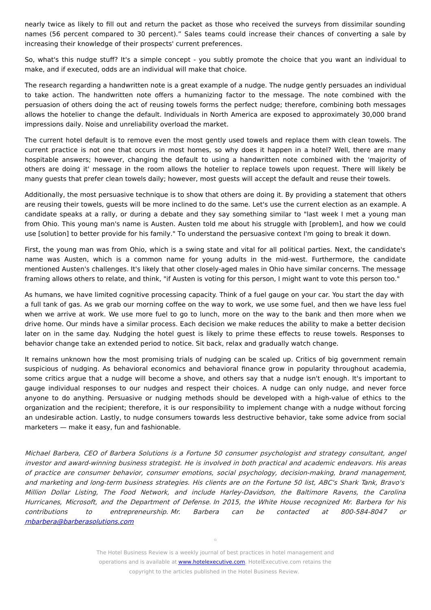nearly twice as likely to fill out and return the packet as those who received the surveys from dissimilar sounding names (56 percent compared to 30 percent)." Sales teams could increase their chances of converting a sale by increasing their knowledge of their prospects' current preferences.

So, what's this nudge stuff? It's a simple concept - you subtly promote the choice that you want an individual to make, and if executed, odds are an individual will make that choice.

The research regarding a handwritten note is a great example of a nudge. The nudge gently persuades an individual to take action. The handwritten note offers a humanizing factor to the message. The note combined with the persuasion of others doing the act of reusing towels forms the perfect nudge; therefore, combining both messages allows the hotelier to change the default. Individuals in North America are exposed to approximately 30,000 brand impressions daily. Noise and unreliability overload the market.

The current hotel default is to remove even the most gently used towels and replace them with clean towels. The current practice is not one that occurs in most homes, so why does it happen in a hotel? Well, there are many hospitable answers; however, changing the default to using a handwritten note combined with the 'majority of others are doing it' message in the room allows the hotelier to replace towels upon request. There will likely be many guests that prefer clean towels daily; however, most guests will accept the default and reuse their towels.

Additionally, the most persuasive technique is to show that others are doing it. By providing a statement that others are reusing their towels, guests will be more inclined to do the same. Let's use the current election as an example. A candidate speaks at a rally, or during a debate and they say something similar to "last week I met a young man from Ohio. This young man's name is Austen. Austen told me about his struggle with [problem], and how we could use [solution] to better provide for his family." To understand the persuasive context I'm going to break it down.

First, the young man was from Ohio, which is a swing state and vital for all political parties. Next, the candidate's name was Austen, which is a common name for young adults in the mid-west. Furthermore, the candidate mentioned Austen's challenges. It's likely that other closely-aged males in Ohio have similar concerns. The message framing allows others to relate, and think, "if Austen is voting for this person, I might want to vote this person too."

As humans, we have limited cognitive processing capacity. Think of a fuel gauge on your car. You start the day with a full tank of gas. As we grab our morning coffee on the way to work, we use some fuel, and then we have less fuel when we arrive at work. We use more fuel to go to lunch, more on the way to the bank and then more when we drive home. Our minds have a similar process. Each decision we make reduces the ability to make a better decision later on in the same day. Nudging the hotel guest is likely to prime these effects to reuse towels. Responses to behavior change take an extended period to notice. Sit back, relax and gradually watch change.

It remains unknown how the most promising trials of nudging can be scaled up. Critics of big government remain suspicious of nudging. As behavioral economics and behavioral finance grow in popularity throughout academia, some critics argue that a nudge will become a shove, and others say that a nudge isn't enough. It's important to gauge individual responses to our nudges and respect their choices. A nudge can only nudge, and never force anyone to do anything. Persuasive or nudging methods should be developed with a high-value of ethics to the organization and the recipient; therefore, it is our responsibility to implement change with a nudge without forcing an undesirable action. Lastly, to nudge consumers towards less destructive behavior, take some advice from social marketers — make it easy, fun and fashionable.

Michael Barbera, CEO of Barbera Solutions is <sup>a</sup> Fortune 50 consumer psychologist and strategy consultant, angel investor and award-winning business strategist. He is involved in both practical and academic endeavors. His areas of practice are consumer behavior, consumer emotions, social psychology, decision-making, brand management, and marketing and long-term business strategies. His clients are on the Fortune 50 list, ABC's Shark Tank, Bravo's Million Dollar Listing, The Food Network, and include Harley-Davidson, the Baltimore Ravens, the Carolina Hurricanes, Microsoft, and the Department of Defense. In 2015, the White House recognized Mr. Barbera for his contributions to entrepreneurship. Mr. Barbera can be contacted at 800-584-8047 or [mbarbera@barberasolutions.com](mailto:mbarbera@barberasolutions.com)

The Hotel Business Review is a weekly journal of best practices in hotel management and operations and is available at **[www.hotelexecutive.com](http://www.hotelexecutve.com)**. HotelExecutive.com retains the copyright to the articles published in the Hotel Business Review.